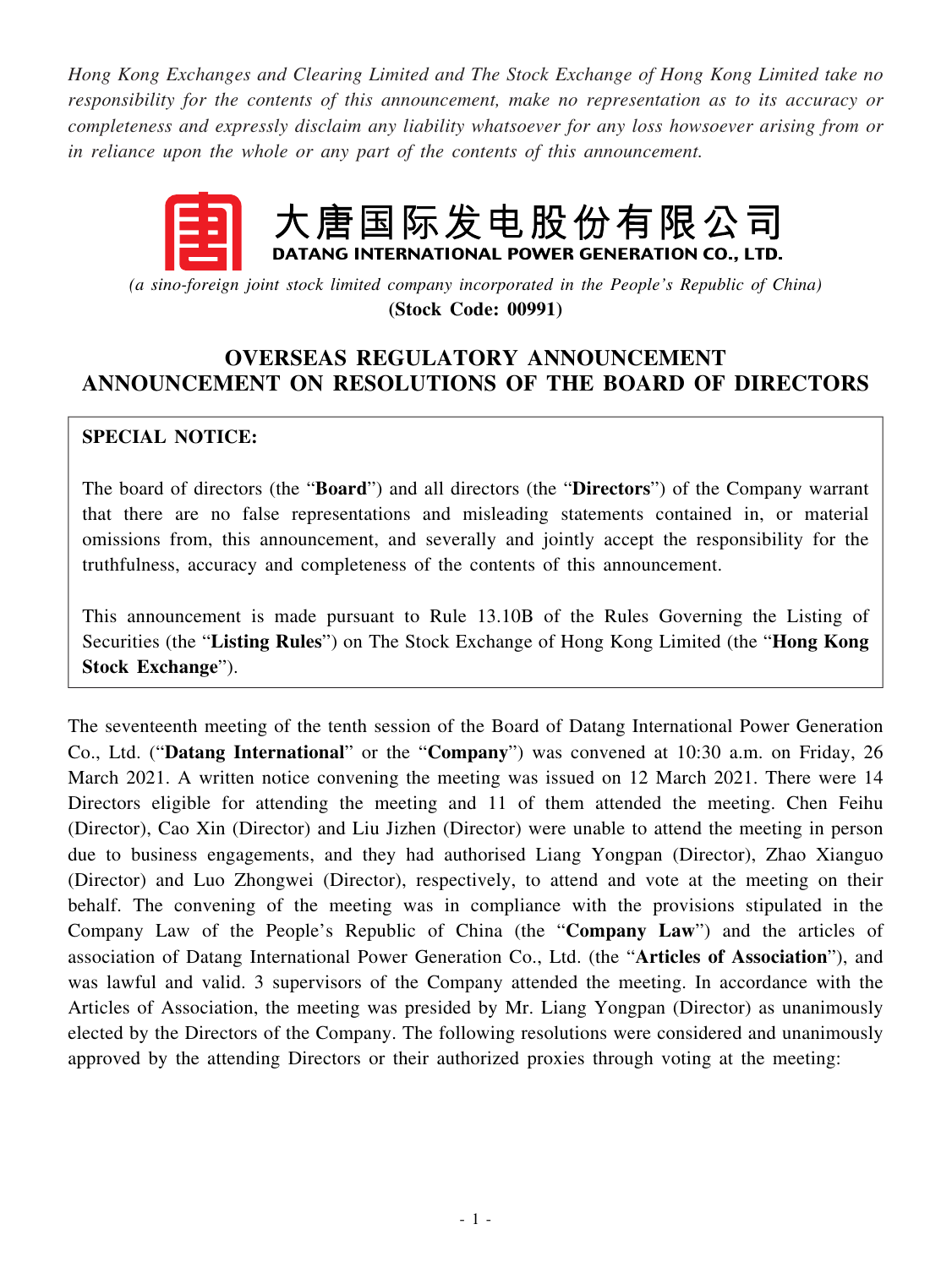*Hong Kong Exchanges and Clearing Limited and The Stock Exchange of Hong Kong Limited take no responsibility for the contents of this announcement, make no representation as to its accuracy or completeness and expressly disclaim any liability whatsoever for any loss howsoever arising from or in reliance upon the whole or any part of the contents of this announcement.*

# 大唐国际发电股份有限公司 DATANG INTERNATIONAL POWER GENERATION CO., LTD.

*(a sino-foreign joint stock limited company incorporated in the People's Republic of China)* **(Stock Code: 00991)**

## **OVERSEAS REGULATORY ANNOUNCEMENT ANNOUNCEMENT ON RESOLUTIONS OF THE BOARD OF DIRECTORS**

#### **SPECIAL NOTICE:**

The board of directors (the "**Board**") and all directors (the "**Directors**") of the Company warrant that there are no false representations and misleading statements contained in, or material omissions from, this announcement, and severally and jointly accept the responsibility for the truthfulness, accuracy and completeness of the contents of this announcement.

This announcement is made pursuant to Rule 13.10B of the Rules Governing the Listing of Securities (the "**Listing Rules**") on The Stock Exchange of Hong Kong Limited (the "**Hong Kong Stock Exchange**").

The seventeenth meeting of the tenth session of the Board of Datang International Power Generation Co., Ltd. ("**Datang International**" or the "**Company**") was convened at 10:30 a.m. on Friday, 26 March 2021. A written notice convening the meeting was issued on 12 March 2021. There were 14 Directors eligible for attending the meeting and 11 of them attended the meeting. Chen Feihu (Director), Cao Xin (Director) and Liu Jizhen (Director) were unable to attend the meeting in person due to business engagements, and they had authorised Liang Yongpan (Director), Zhao Xianguo (Director) and Luo Zhongwei (Director), respectively, to attend and vote at the meeting on their behalf. The convening of the meeting was in compliance with the provisions stipulated in the Company Law of the People's Republic of China (the "**Company Law**") and the articles of association of Datang International Power Generation Co., Ltd. (the "**Articles of Association**"), and was lawful and valid. 3 supervisors of the Company attended the meeting. In accordance with the Articles of Association, the meeting was presided by Mr. Liang Yongpan (Director) as unanimously elected by the Directors of the Company. The following resolutions were considered and unanimously approved by the attending Directors or their authorized proxies through voting at the meeting: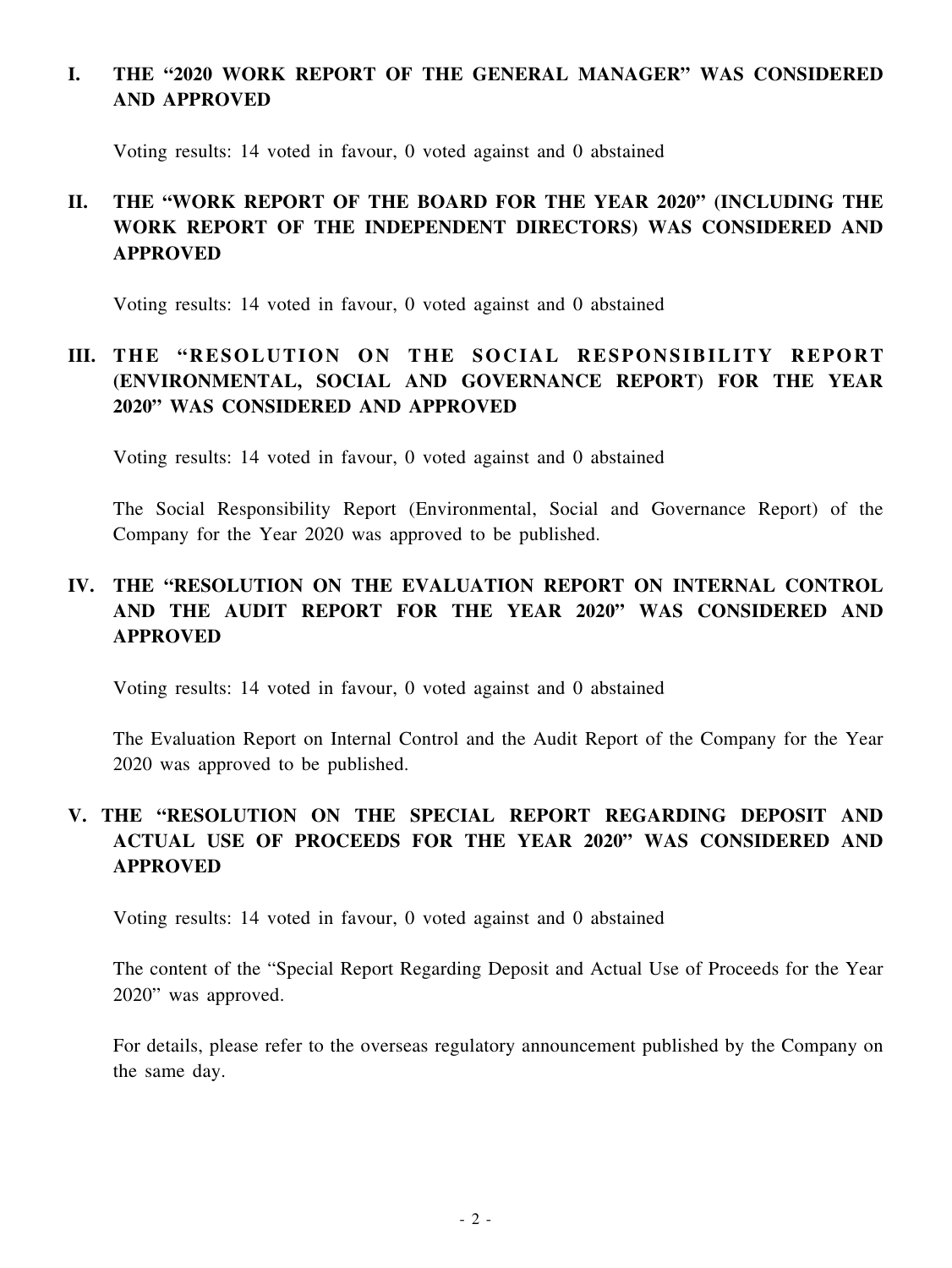## **I. THE "2020 WORK REPORT OF THE GENERAL MANAGER" WAS CONSIDERED AND APPROVED**

Voting results: 14 voted in favour, 0 voted against and 0 abstained

# **II. THE "WORK REPORT OF THE BOARD FOR THE YEAR 2020" (INCLUDING THE WORK REPORT OF THE INDEPENDENT DIRECTORS) WAS CONSIDERED AND APPROVED**

Voting results: 14 voted in favour, 0 voted against and 0 abstained

## **III.** THE "RESOLUTION ON THE SOCIAL RESPONSIBILITY REPORT **(ENVIRONMENTAL, SOCIAL AND GOVERNANCE REPORT) FOR THE YEAR 2020" WAS CONSIDERED AND APPROVED**

Voting results: 14 voted in favour, 0 voted against and 0 abstained

The Social Responsibility Report (Environmental, Social and Governance Report) of the Company for the Year 2020 was approved to be published.

## **IV. THE "RESOLUTION ON THE EVALUATION REPORT ON INTERNAL CONTROL AND THE AUDIT REPORT FOR THE YEAR 2020" WAS CONSIDERED AND APPROVED**

Voting results: 14 voted in favour, 0 voted against and 0 abstained

The Evaluation Report on Internal Control and the Audit Report of the Company for the Year 2020 was approved to be published.

## **V. THE "RESOLUTION ON THE SPECIAL REPORT REGARDING DEPOSIT AND ACTUAL USE OF PROCEEDS FOR THE YEAR 2020" WAS CONSIDERED AND APPROVED**

Voting results: 14 voted in favour, 0 voted against and 0 abstained

The content of the "Special Report Regarding Deposit and Actual Use of Proceeds for the Year 2020" was approved.

For details, please refer to the overseas regulatory announcement published by the Company on the same day.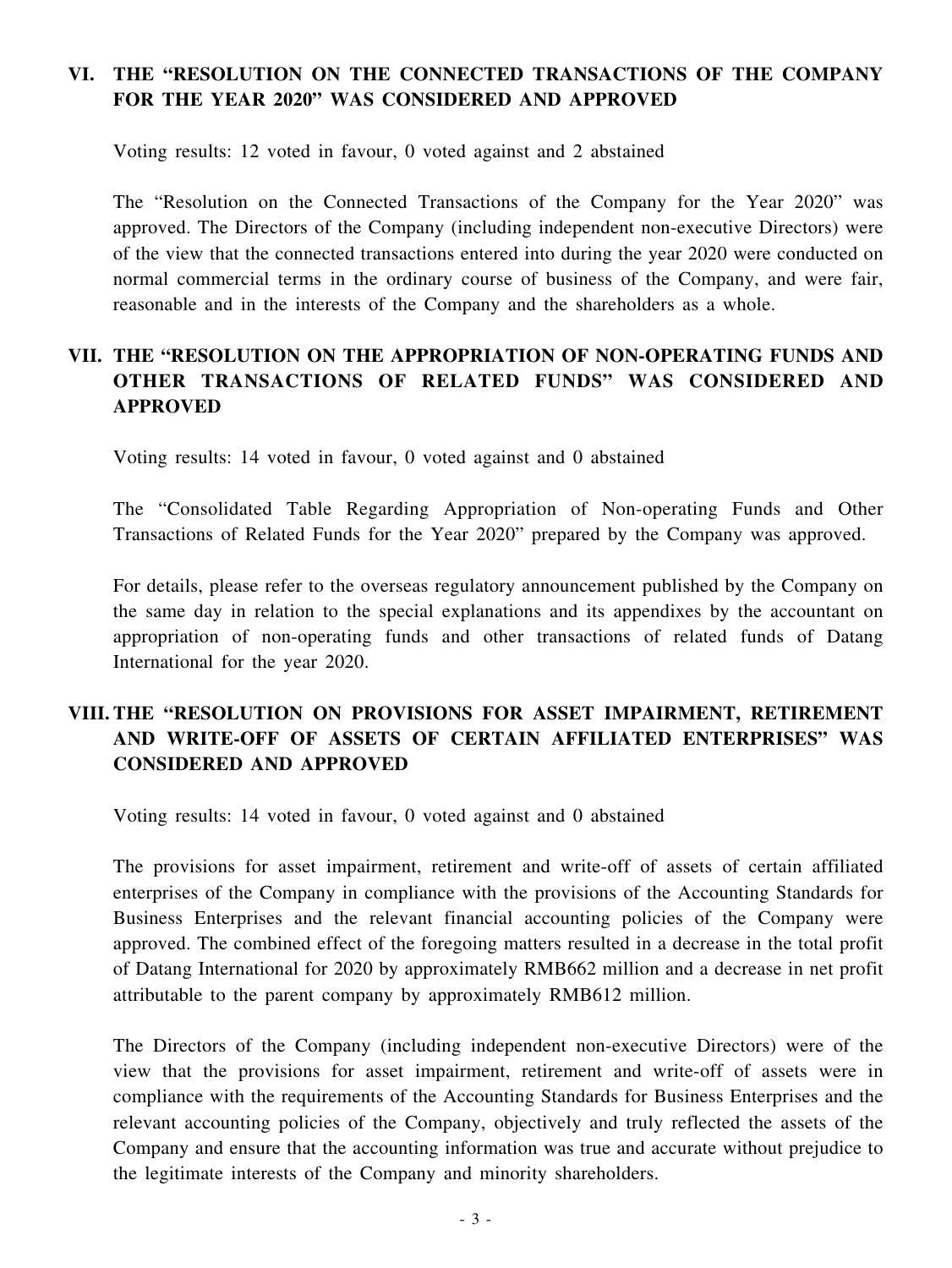## **VI. THE "RESOLUTION ON THE CONNECTED TRANSACTIONS OF THE COMPANY FOR THE YEAR 2020" WAS CONSIDERED AND APPROVED**

Voting results: 12 voted in favour, 0 voted against and 2 abstained

The "Resolution on the Connected Transactions of the Company for the Year 2020" was approved. The Directors of the Company (including independent non-executive Directors) were of the view that the connected transactions entered into during the year 2020 were conducted on normal commercial terms in the ordinary course of business of the Company, and were fair, reasonable and in the interests of the Company and the shareholders as a whole.

## **VII. THE "RESOLUTION ON THE APPROPRIATION OF NON-OPERATING FUNDS AND OTHER TRANSACTIONS OF RELATED FUNDS" WAS CONSIDERED AND APPROVED**

Voting results: 14 voted in favour, 0 voted against and 0 abstained

The "Consolidated Table Regarding Appropriation of Non-operating Funds and Other Transactions of Related Funds for the Year 2020" prepared by the Company was approved.

For details, please refer to the overseas regulatory announcement published by the Company on the same day in relation to the special explanations and its appendixes by the accountant on appropriation of non-operating funds and other transactions of related funds of Datang International for the year 2020.

### **VIII. THE "RESOLUTION ON PROVISIONS FOR ASSET IMPAIRMENT, RETIREMENT AND WRITE-OFF OF ASSETS OF CERTAIN AFFILIATED ENTERPRISES" WAS CONSIDERED AND APPROVED**

Voting results: 14 voted in favour, 0 voted against and 0 abstained

The provisions for asset impairment, retirement and write-off of assets of certain affiliated enterprises of the Company in compliance with the provisions of the Accounting Standards for Business Enterprises and the relevant financial accounting policies of the Company were approved. The combined effect of the foregoing matters resulted in a decrease in the total profit of Datang International for 2020 by approximately RMB662 million and a decrease in net profit attributable to the parent company by approximately RMB612 million.

The Directors of the Company (including independent non-executive Directors) were of the view that the provisions for asset impairment, retirement and write-off of assets were in compliance with the requirements of the Accounting Standards for Business Enterprises and the relevant accounting policies of the Company, objectively and truly reflected the assets of the Company and ensure that the accounting information was true and accurate without prejudice to the legitimate interests of the Company and minority shareholders.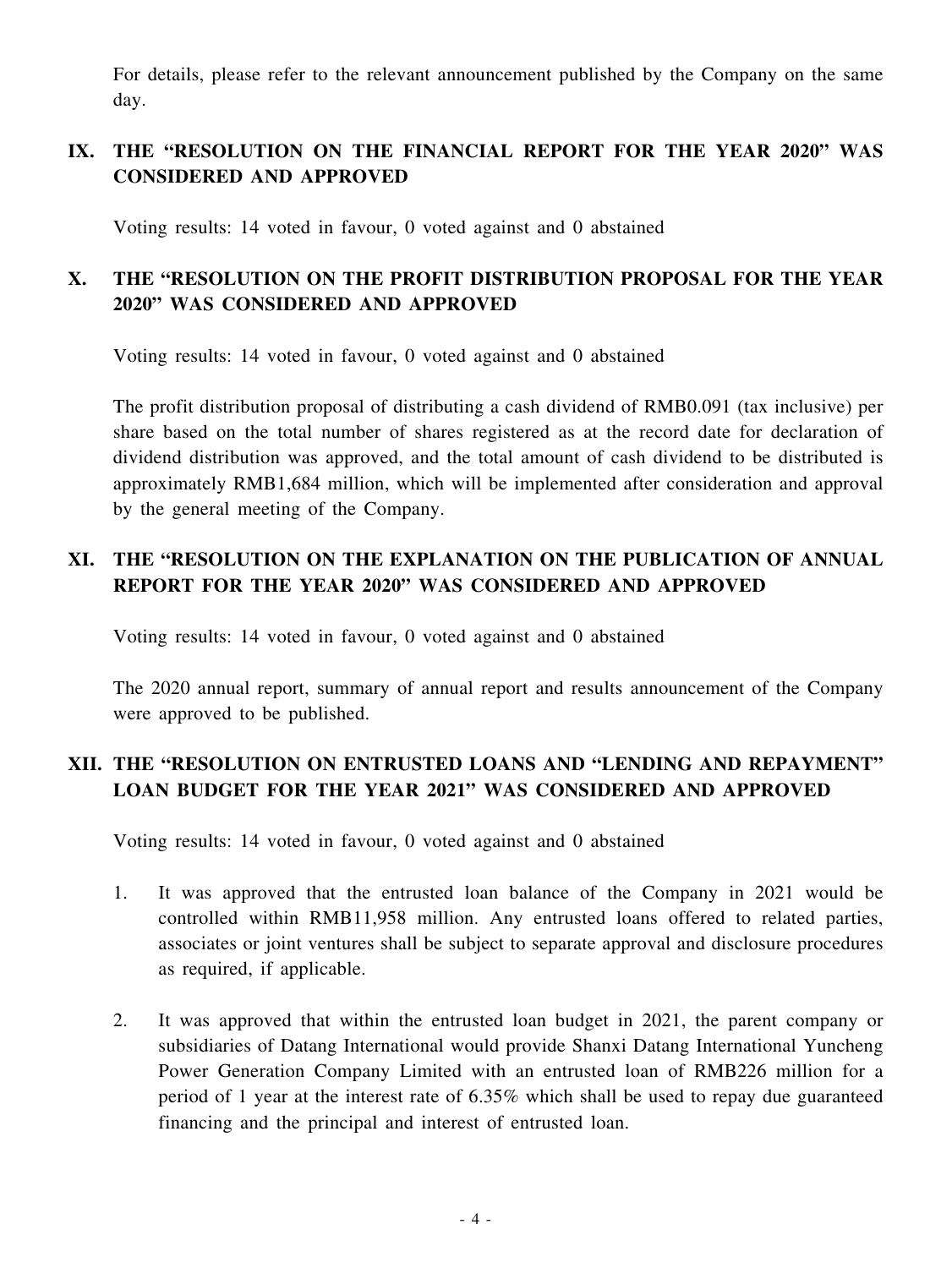For details, please refer to the relevant announcement published by the Company on the same day.

## **IX. THE "RESOLUTION ON THE FINANCIAL REPORT FOR THE YEAR 2020" WAS CONSIDERED AND APPROVED**

Voting results: 14 voted in favour, 0 voted against and 0 abstained

## **X. THE "RESOLUTION ON THE PROFIT DISTRIBUTION PROPOSAL FOR THE YEAR 2020" WAS CONSIDERED AND APPROVED**

Voting results: 14 voted in favour, 0 voted against and 0 abstained

The profit distribution proposal of distributing a cash dividend of RMB0.091 (tax inclusive) per share based on the total number of shares registered as at the record date for declaration of dividend distribution was approved, and the total amount of cash dividend to be distributed is approximately RMB1,684 million, which will be implemented after consideration and approval by the general meeting of the Company.

#### **XI. THE "RESOLUTION ON THE EXPLANATION ON THE PUBLICATION OF ANNUAL REPORT FOR THE YEAR 2020" WAS CONSIDERED AND APPROVED**

Voting results: 14 voted in favour, 0 voted against and 0 abstained

The 2020 annual report, summary of annual report and results announcement of the Company were approved to be published.

## **XII. THE "RESOLUTION ON ENTRUSTED LOANS AND "LENDING AND REPAYMENT" LOAN BUDGET FOR THE YEAR 2021" WAS CONSIDERED AND APPROVED**

Voting results: 14 voted in favour, 0 voted against and 0 abstained

- 1. It was approved that the entrusted loan balance of the Company in 2021 would be controlled within RMB11,958 million. Any entrusted loans offered to related parties, associates or joint ventures shall be subject to separate approval and disclosure procedures as required, if applicable.
- 2. It was approved that within the entrusted loan budget in 2021, the parent company or subsidiaries of Datang International would provide Shanxi Datang International Yuncheng Power Generation Company Limited with an entrusted loan of RMB226 million for a period of 1 year at the interest rate of 6.35% which shall be used to repay due guaranteed financing and the principal and interest of entrusted loan.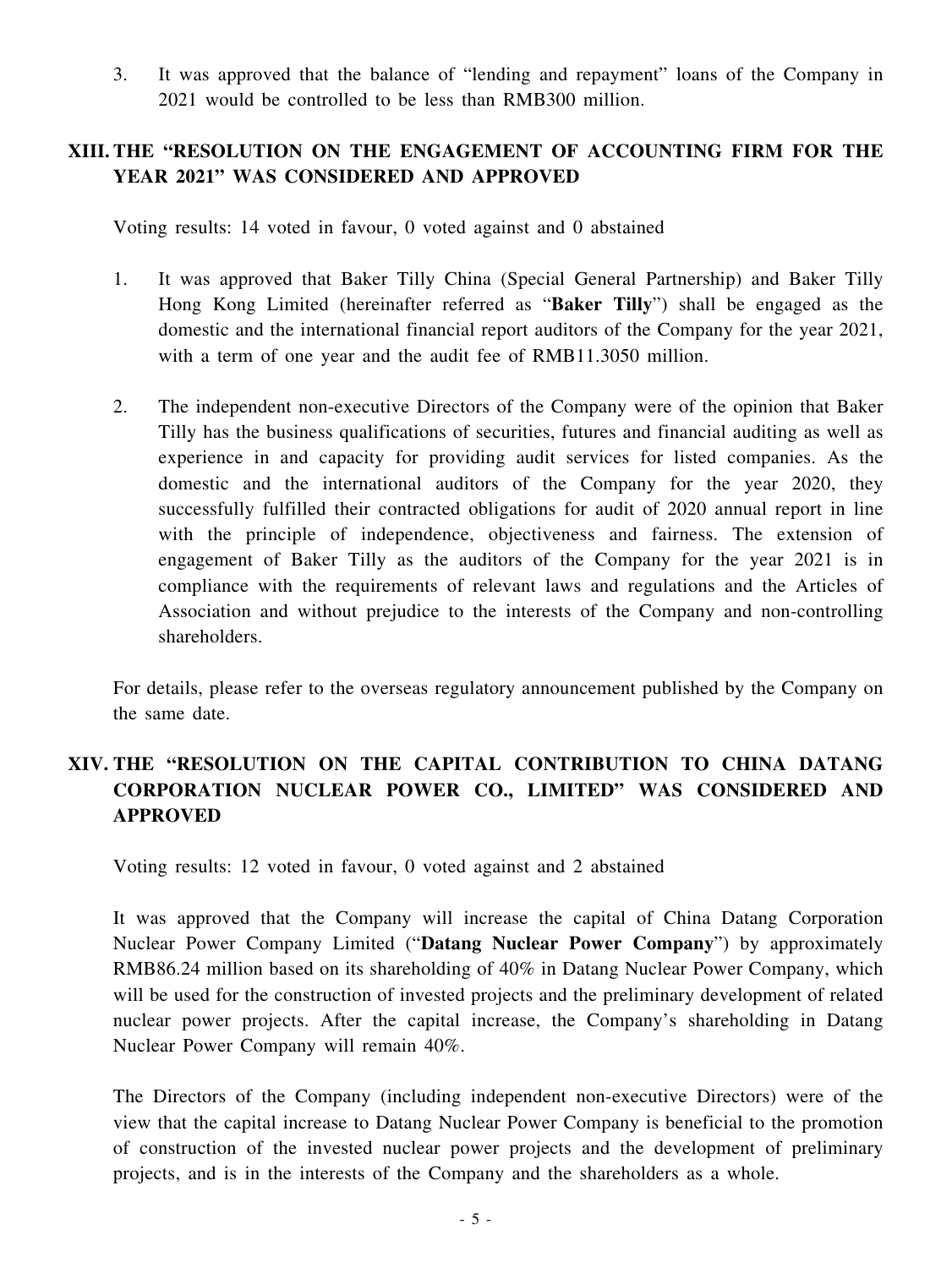3. It was approved that the balance of "lending and repayment" loans of the Company in 2021 would be controlled to be less than RMB300 million.

#### **XIII. THE "RESOLUTION ON THE ENGAGEMENT OF ACCOUNTING FIRM FOR THE YEAR 2021" WAS CONSIDERED AND APPROVED**

Voting results: 14 voted in favour, 0 voted against and 0 abstained

- 1. It was approved that Baker Tilly China (Special General Partnership) and Baker Tilly Hong Kong Limited (hereinafter referred as "**Baker Tilly**") shall be engaged as the domestic and the international financial report auditors of the Company for the year 2021, with a term of one year and the audit fee of RMB11.3050 million.
- 2. The independent non-executive Directors of the Company were of the opinion that Baker Tilly has the business qualifications of securities, futures and financial auditing as well as experience in and capacity for providing audit services for listed companies. As the domestic and the international auditors of the Company for the year 2020, they successfully fulfilled their contracted obligations for audit of 2020 annual report in line with the principle of independence, objectiveness and fairness. The extension of engagement of Baker Tilly as the auditors of the Company for the year 2021 is in compliance with the requirements of relevant laws and regulations and the Articles of Association and without prejudice to the interests of the Company and non-controlling shareholders.

For details, please refer to the overseas regulatory announcement published by the Company on the same date.

### **XIV. THE "RESOLUTION ON THE CAPITAL CONTRIBUTION TO CHINA DATANG CORPORATION NUCLEAR POWER CO., LIMITED" WAS CONSIDERED AND APPROVED**

Voting results: 12 voted in favour, 0 voted against and 2 abstained

It was approved that the Company will increase the capital of China Datang Corporation Nuclear Power Company Limited ("**Datang Nuclear Power Company**") by approximately RMB86.24 million based on its shareholding of 40% in Datang Nuclear Power Company, which will be used for the construction of invested projects and the preliminary development of related nuclear power projects. After the capital increase, the Company's shareholding in Datang Nuclear Power Company will remain 40%.

The Directors of the Company (including independent non-executive Directors) were of the view that the capital increase to Datang Nuclear Power Company is beneficial to the promotion of construction of the invested nuclear power projects and the development of preliminary projects, and is in the interests of the Company and the shareholders as a whole.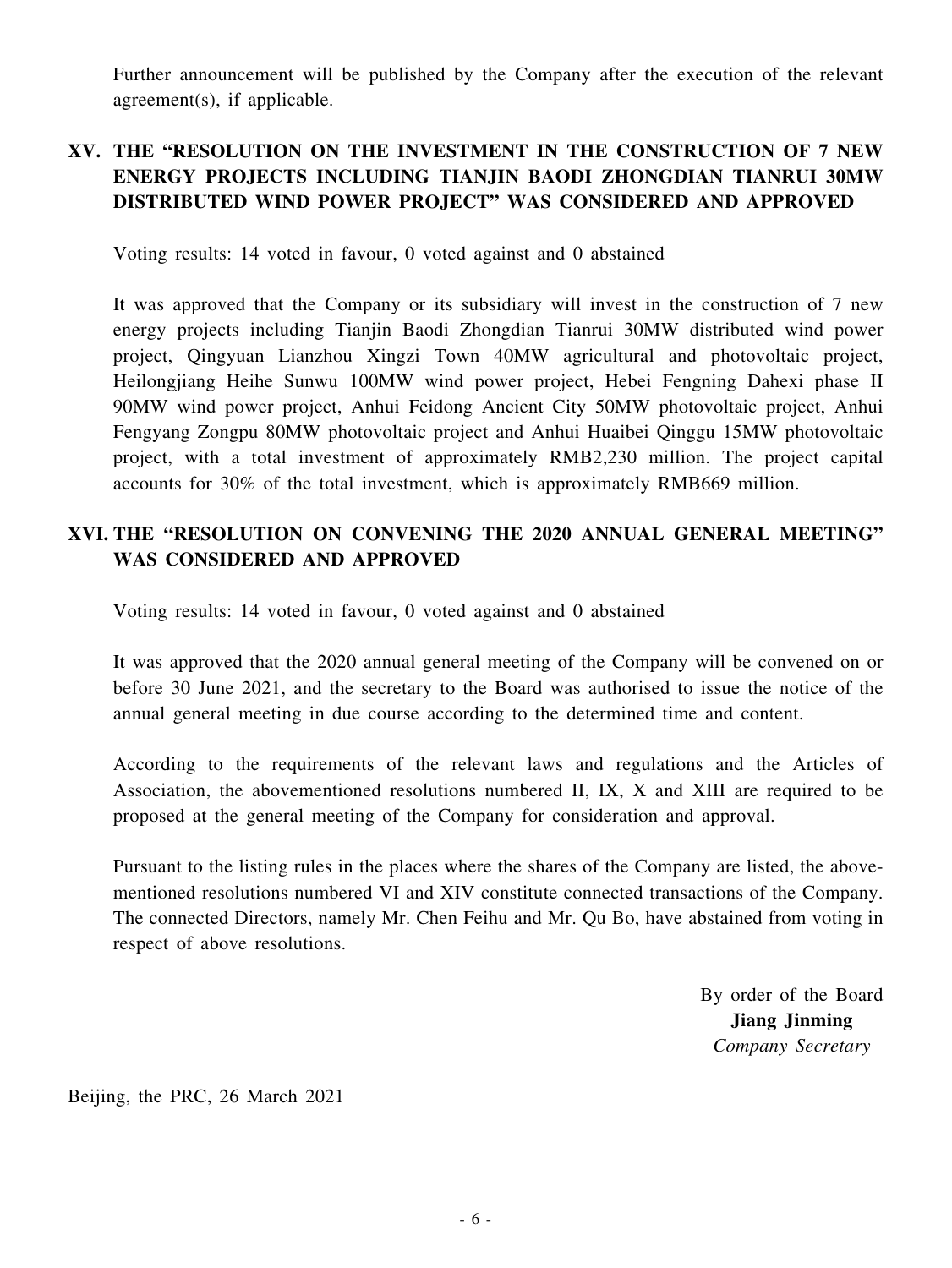Further announcement will be published by the Company after the execution of the relevant agreement(s), if applicable.

## **XV. THE "RESOLUTION ON THE INVESTMENT IN THE CONSTRUCTION OF 7 NEW ENERGY PROJECTS INCLUDING TIANJIN BAODI ZHONGDIAN TIANRUI 30MW DISTRIBUTED WIND POWER PROJECT" WAS CONSIDERED AND APPROVED**

Voting results: 14 voted in favour, 0 voted against and 0 abstained

It was approved that the Company or its subsidiary will invest in the construction of 7 new energy projects including Tianjin Baodi Zhongdian Tianrui 30MW distributed wind power project, Qingyuan Lianzhou Xingzi Town 40MW agricultural and photovoltaic project, Heilongjiang Heihe Sunwu 100MW wind power project, Hebei Fengning Dahexi phase II 90MW wind power project, Anhui Feidong Ancient City 50MW photovoltaic project, Anhui Fengyang Zongpu 80MW photovoltaic project and Anhui Huaibei Qinggu 15MW photovoltaic project, with a total investment of approximately RMB2,230 million. The project capital accounts for 30% of the total investment, which is approximately RMB669 million.

#### **XVI. THE "RESOLUTION ON CONVENING THE 2020 ANNUAL GENERAL MEETING" WAS CONSIDERED AND APPROVED**

Voting results: 14 voted in favour, 0 voted against and 0 abstained

It was approved that the 2020 annual general meeting of the Company will be convened on or before 30 June 2021, and the secretary to the Board was authorised to issue the notice of the annual general meeting in due course according to the determined time and content.

According to the requirements of the relevant laws and regulations and the Articles of Association, the abovementioned resolutions numbered II, IX, X and XIII are required to be proposed at the general meeting of the Company for consideration and approval.

Pursuant to the listing rules in the places where the shares of the Company are listed, the abovementioned resolutions numbered VI and XIV constitute connected transactions of the Company. The connected Directors, namely Mr. Chen Feihu and Mr. Qu Bo, have abstained from voting in respect of above resolutions.

> By order of the Board **Jiang Jinming** *Company Secretary*

Beijing, the PRC, 26 March 2021